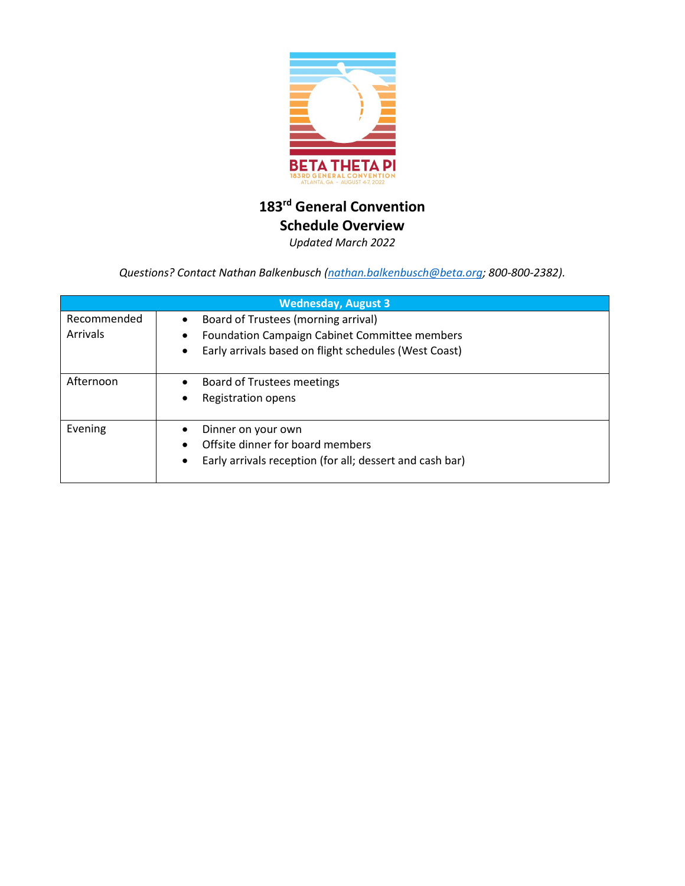

## **183rd General Convention Schedule Overview** *Updated March 2022*

*Questions? Contact Nathan Balkenbusch [\(nathan.balkenbusch@beta.org;](mailto:nathan.balkenbusch@beta.org) 800-800-2382).*

|                         | <b>Wednesday, August 3</b>                                                                                                                           |
|-------------------------|------------------------------------------------------------------------------------------------------------------------------------------------------|
| Recommended<br>Arrivals | Board of Trustees (morning arrival)<br><b>Foundation Campaign Cabinet Committee members</b><br>Early arrivals based on flight schedules (West Coast) |
| Afternoon               | Board of Trustees meetings<br>Registration opens                                                                                                     |
| Evening                 | Dinner on your own<br>Offsite dinner for board members<br>Early arrivals reception (for all; dessert and cash bar)                                   |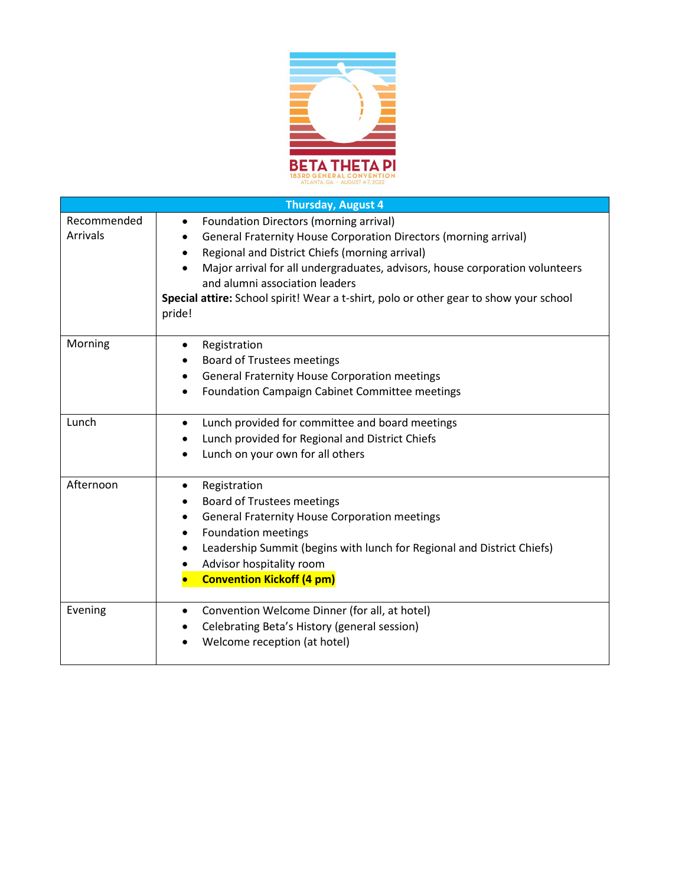

|                                | <b>Thursday, August 4</b>                                                                                                                                                                                                                                                                                                                  |
|--------------------------------|--------------------------------------------------------------------------------------------------------------------------------------------------------------------------------------------------------------------------------------------------------------------------------------------------------------------------------------------|
| Recommended<br><b>Arrivals</b> | <b>Foundation Directors (morning arrival)</b><br>$\bullet$<br>General Fraternity House Corporation Directors (morning arrival)<br>$\bullet$<br>Regional and District Chiefs (morning arrival)<br>$\bullet$                                                                                                                                 |
|                                | Major arrival for all undergraduates, advisors, house corporation volunteers<br>$\bullet$<br>and alumni association leaders<br>Special attire: School spirit! Wear a t-shirt, polo or other gear to show your school<br>pride!                                                                                                             |
| Morning                        | Registration<br>$\bullet$<br><b>Board of Trustees meetings</b><br>$\bullet$<br><b>General Fraternity House Corporation meetings</b><br>$\bullet$<br>Foundation Campaign Cabinet Committee meetings<br>$\bullet$                                                                                                                            |
| Lunch                          | Lunch provided for committee and board meetings<br>$\bullet$<br>Lunch provided for Regional and District Chiefs<br>$\bullet$<br>Lunch on your own for all others<br>$\bullet$                                                                                                                                                              |
| Afternoon                      | Registration<br>$\bullet$<br><b>Board of Trustees meetings</b><br>٠<br><b>General Fraternity House Corporation meetings</b><br>$\bullet$<br><b>Foundation meetings</b><br>$\bullet$<br>Leadership Summit (begins with lunch for Regional and District Chiefs)<br>$\bullet$<br>Advisor hospitality room<br><b>Convention Kickoff (4 pm)</b> |
| Evening                        | Convention Welcome Dinner (for all, at hotel)<br>$\bullet$<br>Celebrating Beta's History (general session)<br>Welcome reception (at hotel)                                                                                                                                                                                                 |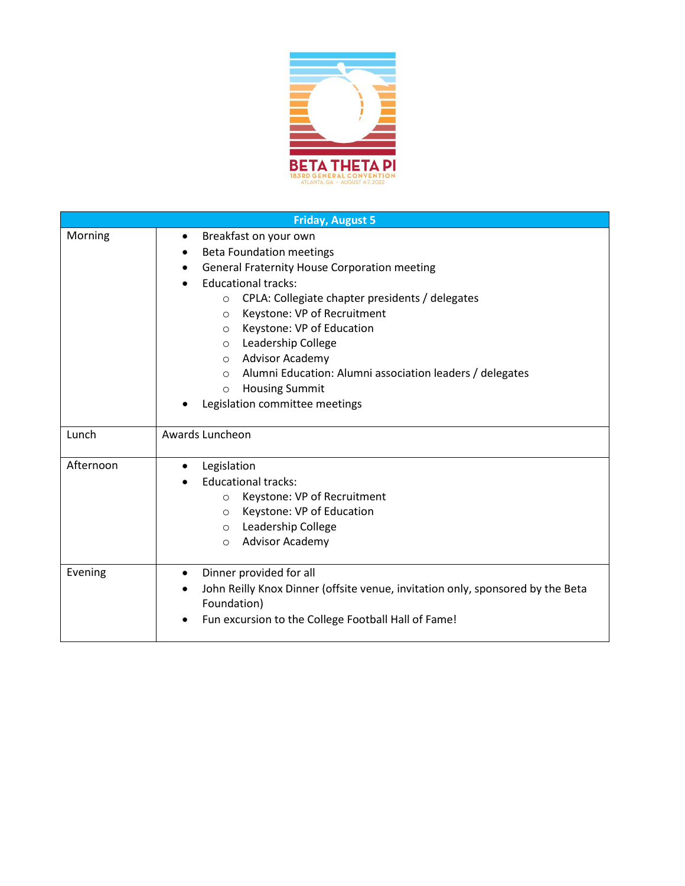

|           | <b>Friday, August 5</b>                                                        |
|-----------|--------------------------------------------------------------------------------|
| Morning   | Breakfast on your own<br>$\bullet$                                             |
|           | <b>Beta Foundation meetings</b><br>$\bullet$                                   |
|           | <b>General Fraternity House Corporation meeting</b><br>$\bullet$               |
|           | <b>Educational tracks:</b><br>$\bullet$                                        |
|           | CPLA: Collegiate chapter presidents / delegates<br>$\circ$                     |
|           | Keystone: VP of Recruitment<br>$\circ$                                         |
|           | Keystone: VP of Education<br>$\circ$                                           |
|           | Leadership College<br>$\circ$                                                  |
|           | Advisor Academy<br>$\circ$                                                     |
|           | Alumni Education: Alumni association leaders / delegates<br>$\circ$            |
|           | <b>Housing Summit</b><br>$\circ$                                               |
|           | Legislation committee meetings                                                 |
| Lunch     | Awards Luncheon                                                                |
|           |                                                                                |
| Afternoon | Legislation<br>$\bullet$                                                       |
|           | <b>Educational tracks:</b>                                                     |
|           | Keystone: VP of Recruitment<br>$\circ$                                         |
|           | Keystone: VP of Education<br>$\circ$                                           |
|           | Leadership College<br>$\circ$                                                  |
|           | <b>Advisor Academy</b><br>$\circ$                                              |
| Evening   | Dinner provided for all<br>$\bullet$                                           |
|           | John Reilly Knox Dinner (offsite venue, invitation only, sponsored by the Beta |
|           | Foundation)                                                                    |
|           | Fun excursion to the College Football Hall of Fame!<br>$\bullet$               |